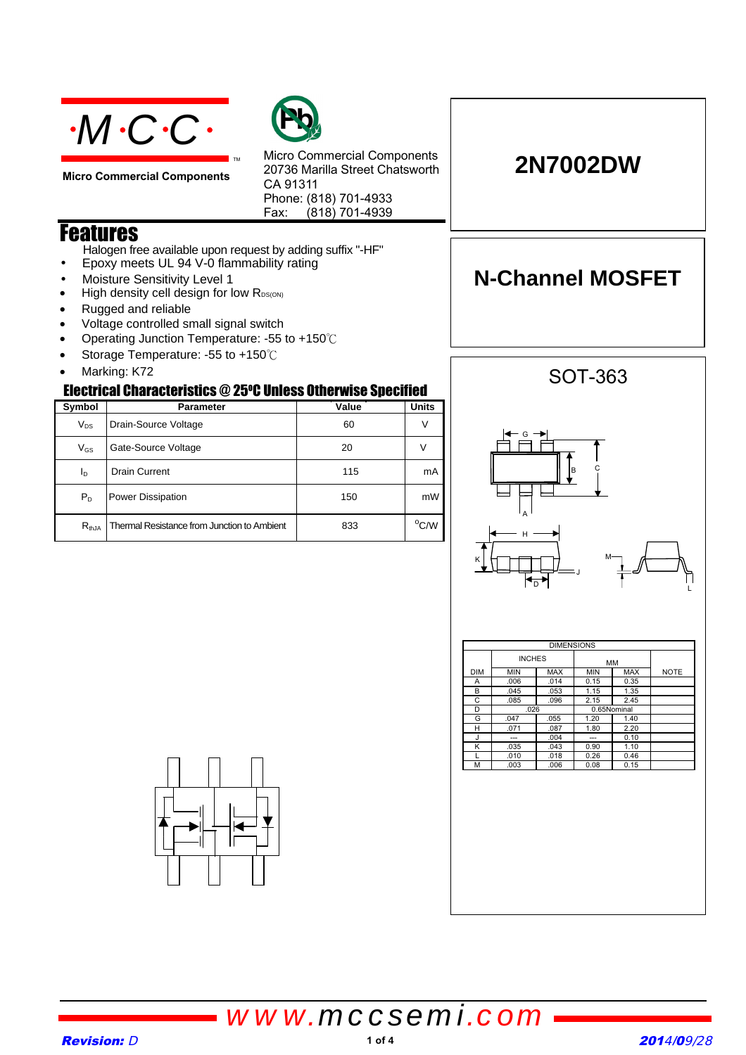

**Micro Commercial Components**



Micro Commercial Components 20736 Marilla Street Chatsworth CA 91311 Phone: (818) 701-4933 Fax:  $(818)$  701-4939

### Features

Halogen free available upon request by adding suffix "-HF"

TM

- Epoxy meets UL 94 V-0 flammability rating
- Moisture Sensitivity Level 1
- High density cell design for low RDS(ON)
- Rugged and reliable
- Voltage controlled small signal switch
- Operating Junction Temperature: -55 to +150°C
- Storage Temperature: -55 to +150°C
- Marking: K72

#### Electrical Characteristics @ 25°C Unless Otherwise Specified

| Symbol     | <b>Parameter</b>                            | Value | <b>Units</b>   |
|------------|---------------------------------------------|-------|----------------|
| $V_{DS}$   | Drain-Source Voltage                        | 60    |                |
| $V_{GS}$   | Gate-Source Voltage                         | 20    |                |
| Iв         | <b>Drain Current</b>                        | 115   | mA             |
| $P_{D}$    | <b>Power Dissipation</b>                    | 150   | mW             |
| $R_{thJA}$ | Thermal Resistance from Junction to Ambient | 833   | $^{\circ}$ C/W |

# A le G H SOT-363



|            | <b>INCHES</b> |            | MM          |            |             |
|------------|---------------|------------|-------------|------------|-------------|
| <b>DIM</b> | <b>MIN</b>    | <b>MAX</b> | <b>MIN</b>  | <b>MAX</b> | <b>NOTE</b> |
| Α          | .006          | .014       | 0.15        | 0.35       |             |
| в          | .045          | .053       | 1.15        | 1.35       |             |
| C          | .085          | .096       | 2.15        | 2.45       |             |
| D          | .026          |            | 0.65Nominal |            |             |
| G          | .047          | .055       | 1.20        | 1.40       |             |
| н          | .071          | .087       | 1.80        | 2.20       |             |
| J          | ---           | .004       | ---         | 0.10       |             |
| κ          | .035          | .043       | 0.90        | 1.10       |             |
|            | .010          | .018       | 0.26        | 0.46       |             |
| М          | .003          | .006       | 0.08        | 0.15       |             |



*www.mccsemi.com*



### **2N7002DW**

**N-Channel MOSFET**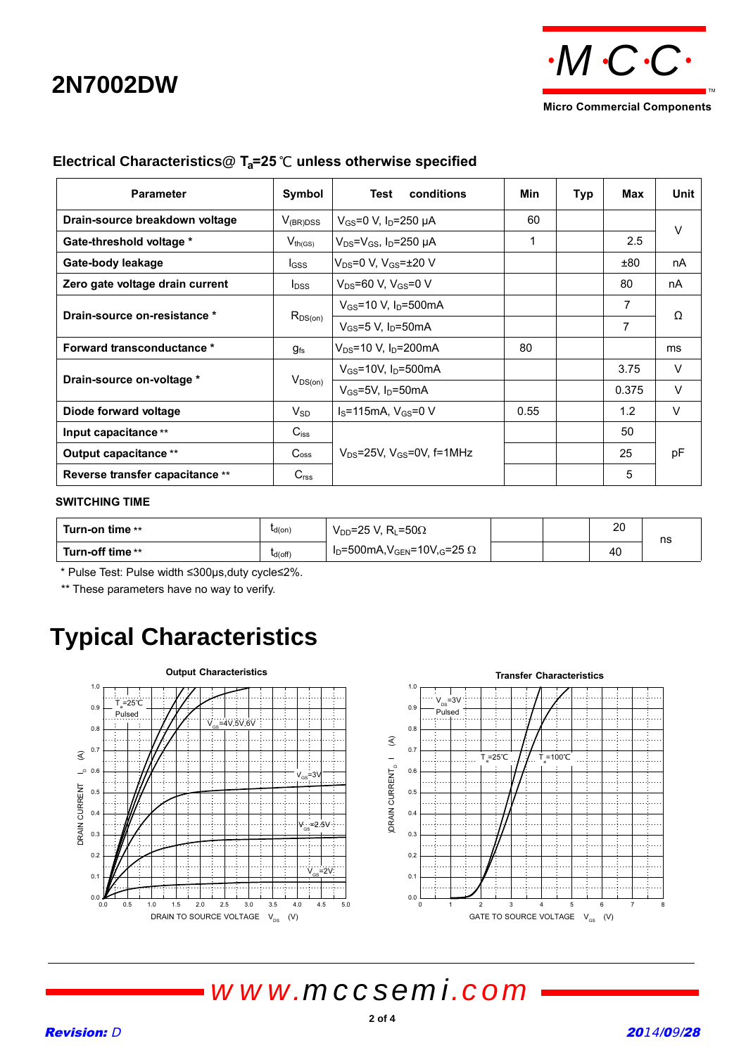# **2N7002DW**



| <b>Parameter</b>                  | Symbol                      | conditions<br>Test                    | Min  | Typ | Max   | Unit   |
|-----------------------------------|-----------------------------|---------------------------------------|------|-----|-------|--------|
| Drain-source breakdown voltage    | $V_{(BR)DSS}$               | $V_{GS}$ =0 V, I <sub>D</sub> =250 µA | 60   |     |       | $\vee$ |
| Gate-threshold voltage *          | $V_{th(GS)}$                | $V_{DS} = V_{GS}$ , $I_D = 250 \mu A$ | 1    |     | 2.5   |        |
| Gate-body leakage                 | $_{\text{GSS}}$             | $V_{DS} = 0 V, V_{GS} = \pm 20 V$     |      |     | ±80   | nA     |
| Zero gate voltage drain current   | $I_{DSS}$                   | $V_{DS} = 60 V, V_{GS} = 0 V$         |      |     | 80    | nA     |
|                                   | $R_{DS(on)}$                | $V_{GS}$ =10 V, $I_D$ =500mA          |      |     | 7     |        |
| Drain-source on-resistance *      |                             | $V_{GS}$ =5 V. I <sub>D</sub> =50mA   |      |     | 7     | Ω      |
| <b>Forward transconductance *</b> | $g_{fs}$                    | $V_{DS}$ =10 V, $I_D$ =200mA          | 80   |     |       | ms     |
|                                   | $V_{DS(on)}$                | $V_{GS}$ =10V, $I_D$ =500mA           |      |     | 3.75  | $\vee$ |
| Drain-source on-voltage *         |                             | $V_{GS}$ =5V, $I_D$ =50mA             |      |     | 0.375 | $\vee$ |
| Diode forward voltage             | $V_{SD}$                    | $I_S = 115$ mA, $V_{GS} = 0$ V        | 0.55 |     | 1.2   | $\vee$ |
| $C_{iss}$<br>Input capacitance ** |                             |                                       |      |     | 50    |        |
| Output capacitance **             | $\mathsf{C}$ <sub>oss</sub> | $V_{DS}$ =25V, $V_{GS}$ =0V, f=1MHz   |      |     | 25    | pF     |
| Reverse transfer capacitance **   | C <sub>rss</sub>            |                                       |      |     | 5     |        |

#### **Electrical Characteristics@ T<sub>a</sub>=25 ℃ unless otherwise specified**

#### **SWITCHING TIME**

| Turn-on time **  | $L_{d(0n)}$  | $V_{DD}$ =25 V, R <sub>L</sub> =50 $\Omega$      |  | חר<br>∠∪ | ns |
|------------------|--------------|--------------------------------------------------|--|----------|----|
| Turn-off time ** | $L_{d(Off)}$ | $I_D = 500$ mA, $V_{GEN} = 10V_{,G} = 25 \Omega$ |  | 40       |    |

\* Pulse Test: Pulse width ≤300µs,duty cycle≤2%.

\*\* These parameters have no way to verify.

# **Typical Characteristics**



# *www.mccsemi.com*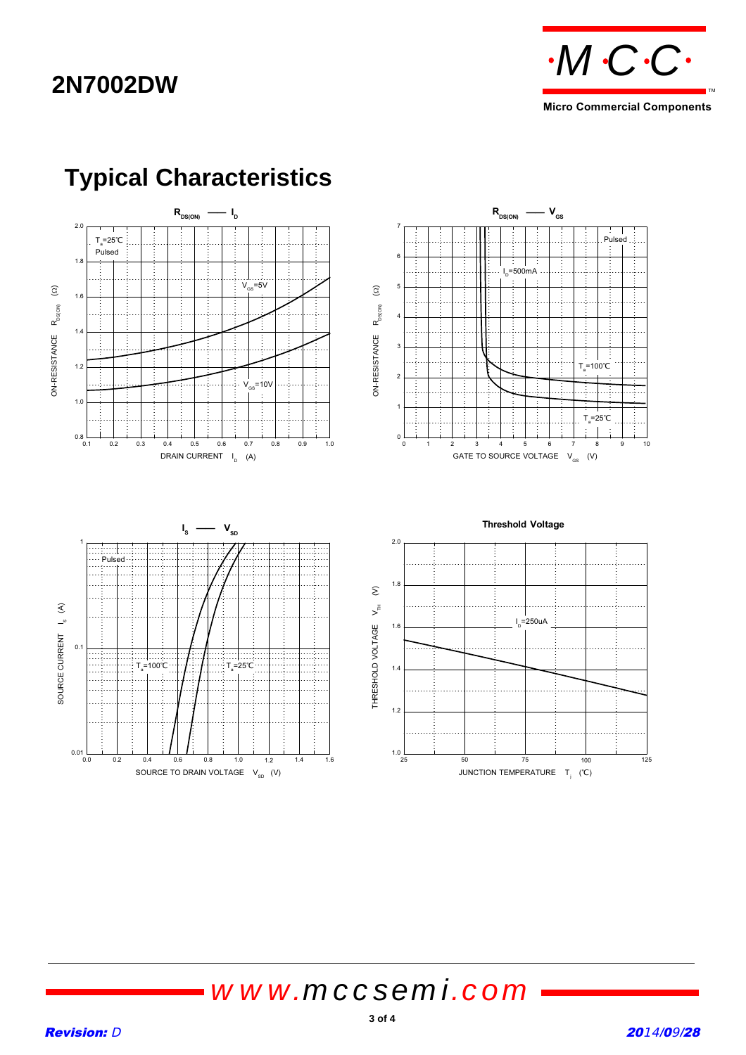### **2N7002DW**



**Micro Commercial Components**



# **Typical Characteristics**

*www.mccsemi.com*

 $\mathcal{L}^{\text{max}}$